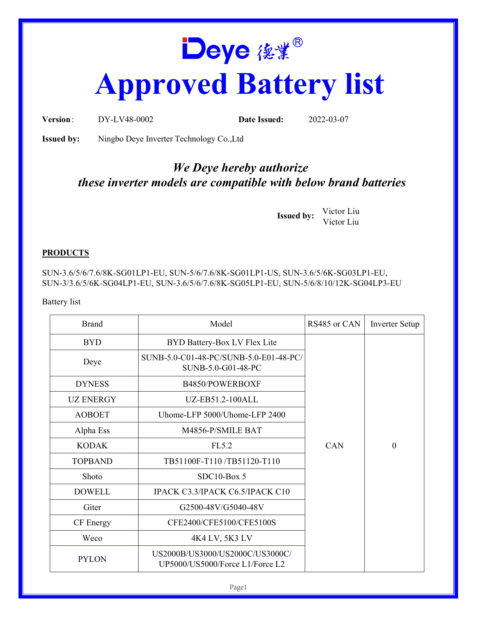## Deye 俊業<sup>®</sup> **Approved Battery list**

**Version**: DY-LV48-0002 **Date Issued:** 2022-03-07

**Issued by:** Ningbo Deye Inverter Technology Co.,Ltd

## *We Deye hereby authorize these inverter models are compatible with below brand batteries*

**Issued by:** Victor Liu Victor Liu

## **PRODUCTS**

SUN-3.6/5/6/7.6/8K-SG01LP1-EU, SUN-5/6/7.6/8K-SG01LP1-US, SUN-3.6/5/6K-SG03LP1-EU, SUN-3/3.6/5/6K-SG04LP1-EU, SUN-3.6/5/6/7.6/8K-SG05LP1-EU, SUN-5/6/8/10/12K-SG04LP3-EU

Battery list

| <b>Brand</b>     | Model                                                              | RS485 or CAN | <b>Inverter Setup</b> |
|------------------|--------------------------------------------------------------------|--------------|-----------------------|
| <b>BYD</b>       | BYD Battery-Box LV Flex Lite                                       |              |                       |
| Deye             | SUNB-5.0-C01-48-PC/SUNB-5.0-E01-48-PC/<br>SUNB-5.0-G01-48-PC       |              |                       |
| <b>DYNESS</b>    | B4850/POWERBOXF                                                    |              |                       |
| <b>UZ ENERGY</b> | UZ-EB51.2-100ALL                                                   |              |                       |
| <b>AOBOET</b>    | Uhome-LFP 5000/Uhome-LFP 2400                                      |              |                       |
| Alpha Ess        | M4856-P/SMILE BAT                                                  |              |                       |
| <b>KODAK</b>     | FL5.2                                                              | <b>CAN</b>   | $\boldsymbol{0}$      |
| <b>TOPBAND</b>   | TB51100F-T110/TB51120-T110                                         |              |                       |
| Shoto            | $SDC10-Box5$                                                       |              |                       |
| <b>DOWELL</b>    | IPACK C3.3/IPACK C6.5/IPACK C10                                    |              |                       |
| Giter            | G2500-48V/G5040-48V                                                |              |                       |
| CF Energy        | CFE2400/CFE5100/CFE5100S                                           |              |                       |
| Weco             | 4K4 LV, 5K3 LV                                                     |              |                       |
| <b>PYLON</b>     | US2000B/US3000/US2000C/US3000C/<br>UP5000/US5000/Force L1/Force L2 |              |                       |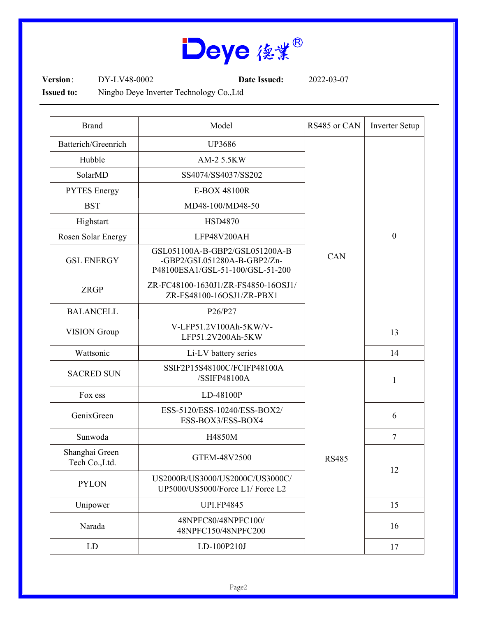

**Version**: DY-LV48-0002 **Date Issued:** 2022-03-07

**Issued to:** Ningbo Deye Inverter Technology Co.,Ltd

| <b>Brand</b>                    | Model                                                                                             | RS485 or CAN | <b>Inverter Setup</b> |
|---------------------------------|---------------------------------------------------------------------------------------------------|--------------|-----------------------|
| Batterich/Greenrich             | <b>UP3686</b>                                                                                     | CAN          | $\boldsymbol{0}$      |
| Hubble                          | AM-2 5.5KW                                                                                        |              |                       |
| SolarMD                         | SS4074/SS4037/SS202                                                                               |              |                       |
| <b>PYTES</b> Energy             | E-BOX 48100R                                                                                      |              |                       |
| <b>BST</b>                      | MD48-100/MD48-50                                                                                  |              |                       |
| Highstart                       | <b>HSD4870</b>                                                                                    |              |                       |
| Rosen Solar Energy              | LFP48V200AH                                                                                       |              |                       |
| <b>GSL ENERGY</b>               | GSL051100A-B-GBP2/GSL051200A-B<br>-GBP2/GSL051280A-B-GBP2/Zn-<br>P48100ESA1/GSL-51-100/GSL-51-200 |              |                       |
| <b>ZRGP</b>                     | ZR-FC48100-1630J1/ZR-FS4850-16OSJ1/<br>ZR-FS48100-16OSJ1/ZR-PBX1                                  |              |                       |
| <b>BALANCELL</b>                | P26/P27                                                                                           |              |                       |
| <b>VISION</b> Group             | V-LFP51.2V100Ah-5KW/V-<br>LFP51.2V200Ah-5KW                                                       |              | 13                    |
| Wattsonic                       | Li-LV battery series                                                                              |              | 14                    |
| <b>SACRED SUN</b>               | SSIF2P15S48100C/FCIFP48100A<br>/SSIFP48100A                                                       | <b>RS485</b> | $\mathbf{1}$          |
| Fox ess                         | LD-48100P                                                                                         |              |                       |
| GenixGreen                      | ESS-5120/ESS-10240/ESS-BOX2/<br>ESS-BOX3/ESS-BOX4                                                 |              | 6                     |
| Sunwoda                         | H4850M                                                                                            |              | $\tau$                |
| Shanghai Green<br>Tech Co.,Ltd. | GTEM-48V2500                                                                                      |              | 12                    |
| <b>PYLON</b>                    | US2000B/US3000/US2000C/US3000C/<br>UP5000/US5000/Force L1/ Force L2                               |              |                       |
| Unipower                        | <b>UPI.FP4845</b>                                                                                 |              | 15                    |
| Narada                          | 48NPFC80/48NPFC100/<br>48NPFC150/48NPFC200                                                        |              | 16                    |
| LD                              | LD-100P210J                                                                                       |              | 17                    |